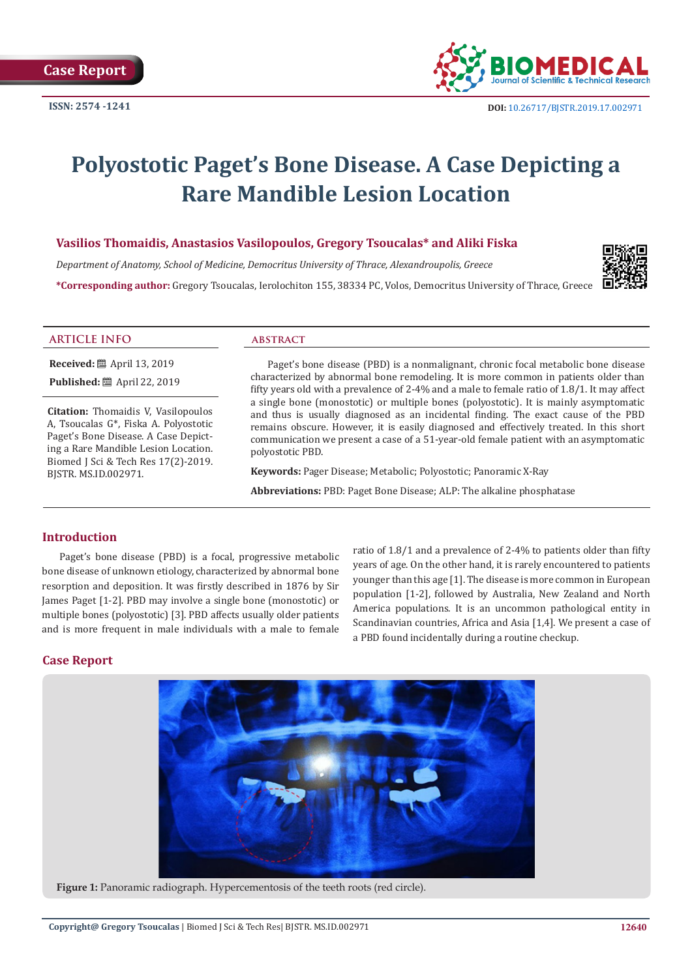

# **Polyostotic Paget's Bone Disease. A Case Depicting a Rare Mandible Lesion Location**

# **Vasilios Thomaidis, Anastasios Vasilopoulos, Gregory Tsoucalas\* and Aliki Fiska**

*Department of Anatomy, School of Medicine, Democritus University of Thrace, Alexandroupolis, Greece* **\*Corresponding author:** Gregory Tsoucalas, Ierolochiton 155, 38334 PC, Volos, Democritus University of Thrace, Greece



#### **ARTICLE INFO abstract**

**Received:** ■ April 13, 2019 **Published:** ■ April 22, 2019

**Citation:** Thomaidis V, Vasilopoulos A, Tsoucalas G\*, Fiska A. Polyostotic Paget's Bone Disease. A Case Depicting a Rare Mandible Lesion Location. Biomed J Sci & Tech Res 17(2)-2019. BJSTR. MS.ID.002971.

Paget's bone disease (PBD) is a nonmalignant, chronic focal metabolic bone disease characterized by abnormal bone remodeling. It is more common in patients older than fifty years old with a prevalence of 2-4% and a male to female ratio of 1.8/1. It may affect a single bone (monostotic) or multiple bones (polyostotic). It is mainly asymptomatic and thus is usually diagnosed as an incidental finding. The exact cause of the PBD remains obscure. However, it is easily diagnosed and effectively treated. In this short communication we present a case of a 51-year-old female patient with an asymptomatic polyostotic PBD.

**Keywords:** Pager Disease; Metabolic; Polyostotic; Panoramic X-Ray

**Abbreviations:** PBD: Paget Bone Disease; ALP: The alkaline phosphatase

### **Introduction**

Paget's bone disease (PBD) is a focal, progressive metabolic bone disease of unknown etiology, characterized by abnormal bone resorption and deposition. It was firstly described in 1876 by Sir James Paget [1-2]. PBD may involve a single bone (monostotic) or multiple bones (polyostotic) [3]. PBD affects usually older patients and is more frequent in male individuals with a male to female ratio of 1.8/1 and a prevalence of 2-4% to patients older than fifty years of age. On the other hand, it is rarely encountered to patients younger than this age [1]. The disease is more common in European population [1-2], followed by Australia, New Zealand and North America populations. It is an uncommon pathological entity in Scandinavian countries, Africa and Asia [1,4]. We present a case of a PBD found incidentally during a routine checkup.

### **Case Report**



**Figure 1:** Panoramic radiograph. Hypercementosis of the teeth roots (red circle).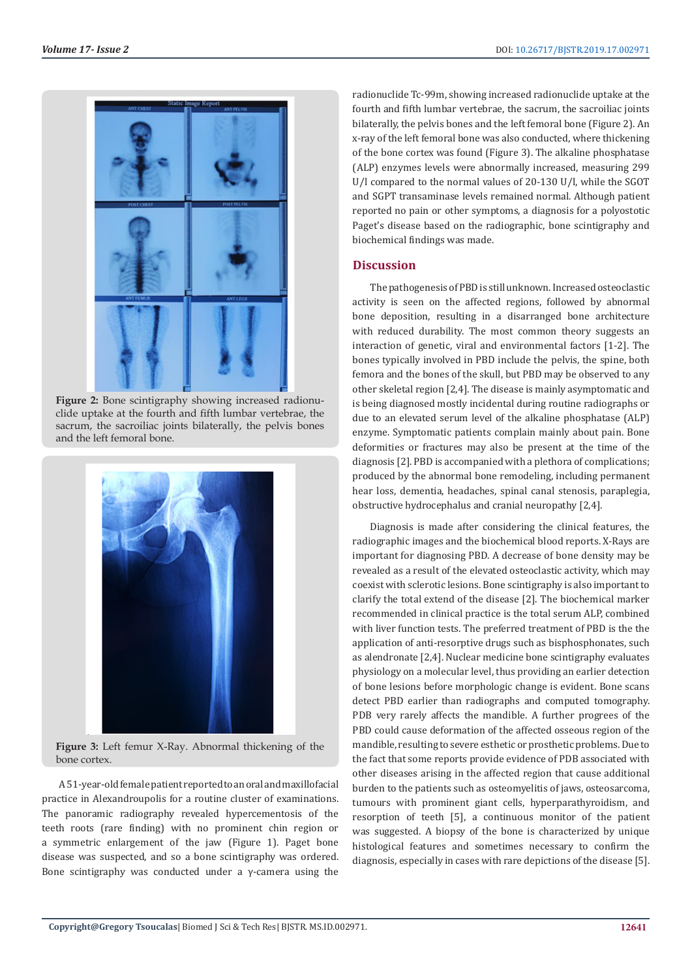

**Figure 2:** Bone scintigraphy showing increased radionuclide uptake at the fourth and fifth lumbar vertebrae, the sacrum, the sacroiliac joints bilaterally, the pelvis bones and the left femoral bone.



**Figure 3:** Left femur X-Ray. Abnormal thickening of the bone cortex.

A 51-year-old female patient reported to an oral and maxillofacial practice in Alexandroupolis for a routine cluster of examinations. The panoramic radiography revealed hypercementosis of the teeth roots (rare finding) with no prominent chin region or a symmetric enlargement of the jaw (Figure 1). Paget bone disease was suspected, and so a bone scintigraphy was ordered. Bone scintigraphy was conducted under a  $\gamma$ -camera using the

radionuclide Tc-99m, showing increased radionuclide uptake at the fourth and fifth lumbar vertebrae, the sacrum, the sacroiliac joints bilaterally, the pelvis bones and the left femoral bone (Figure 2). An x-ray of the left femoral bone was also conducted, where thickening of the bone cortex was found (Figure 3). The alkaline phosphatase (ALP) enzymes levels were abnormally increased, measuring 299 U/l compared to the normal values of 20-130 U/l, while the SGOT and SGPT transaminase levels remained normal. Although patient reported no pain or other symptoms, a diagnosis for a polyostotic Paget's disease based on the radiographic, bone scintigraphy and biochemical findings was made.

### **Discussion**

The pathogenesis of PBD is still unknown. Increased osteoclastic activity is seen on the affected regions, followed by abnormal bone deposition, resulting in a disarranged bone architecture with reduced durability. The most common theory suggests an interaction of genetic, viral and environmental factors [1-2]. The bones typically involved in PBD include the pelvis, the spine, both femora and the bones of the skull, but PBD may be observed to any other skeletal region [2,4]. The disease is mainly asymptomatic and is being diagnosed mostly incidental during routine radiographs or due to an elevated serum level of the alkaline phosphatase (ALP) enzyme. Symptomatic patients complain mainly about pain. Bone deformities or fractures may also be present at the time of the diagnosis [2]. PBD is accompanied with a plethora of complications; produced by the abnormal bone remodeling, including permanent hear loss, dementia, headaches, spinal canal stenosis, paraplegia, obstructive hydrocephalus and cranial neuropathy [2,4].

Diagnosis is made after considering the clinical features, the radiographic images and the biochemical blood reports. X-Rays are important for diagnosing PBD. A decrease of bone density may be revealed as a result of the elevated osteoclastic activity, which may coexist with sclerotic lesions. Bone scintigraphy is also important to clarify the total extend of the disease [2]. The biochemical marker recommended in clinical practice is the total serum ALP, combined with liver function tests. The preferred treatment of PBD is the the application of anti-resorptive drugs such as bisphosphonates, such as alendronate [2,4]. Nuclear medicine bone scintigraphy evaluates physiology on a molecular level, thus providing an earlier detection of bone lesions before morphologic change is evident. Bone scans detect PBD earlier than radiographs and computed tomography. PDB very rarely affects the mandible. A further progrees of the PBD could cause deformation of the affected osseous region of the mandible, resulting to severe esthetic or prosthetic problems. Due to the fact that some reports provide evidence of PDB associated with other diseases arising in the affected region that cause additional burden to the patients such as osteomyelitis of jaws, osteosarcoma, tumours with prominent giant cells, hyperparathyroidism, and resorption of teeth [5], a continuous monitor of the patient was suggested. A biopsy of the bone is characterized by unique histological features and sometimes necessary to confirm the diagnosis, especially in cases with rare depictions of the disease [5].